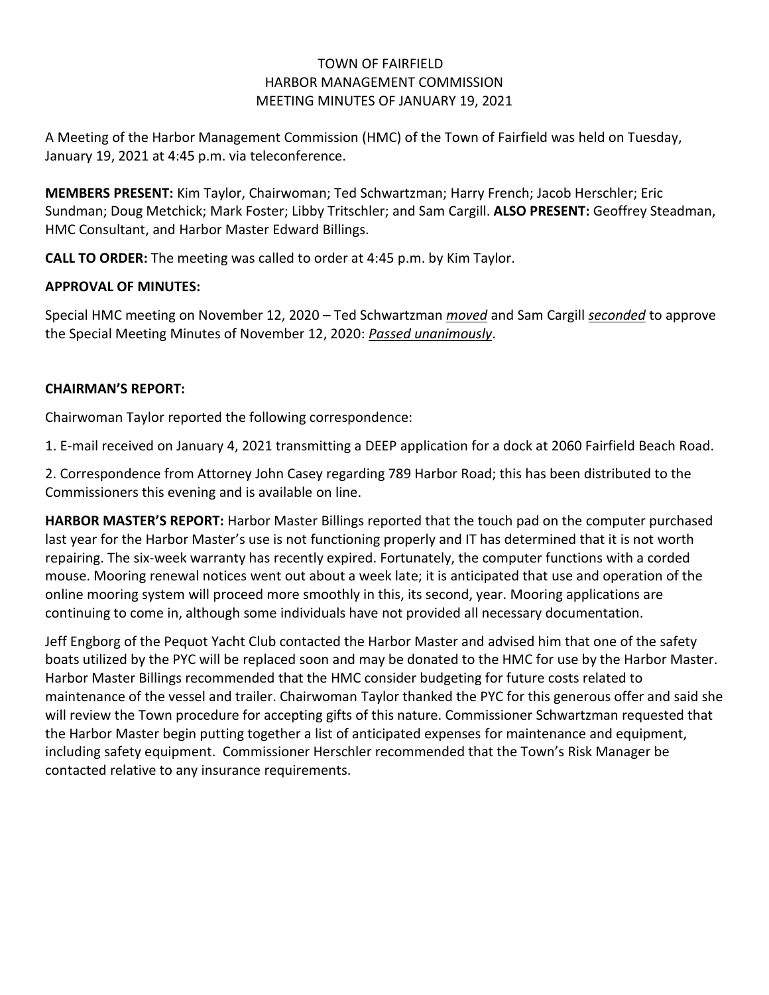### TOWN OF FAIRFIELD HARBOR MANAGEMENT COMMISSION MEETING MINUTES OF JANUARY 19, 2021

A Meeting of the Harbor Management Commission (HMC) of the Town of Fairfield was held on Tuesday, January 19, 2021 at 4:45 p.m. via teleconference.

**MEMBERS PRESENT:** Kim Taylor, Chairwoman; Ted Schwartzman; Harry French; Jacob Herschler; Eric Sundman; Doug Metchick; Mark Foster; Libby Tritschler; and Sam Cargill. **ALSO PRESENT:** Geoffrey Steadman, HMC Consultant, and Harbor Master Edward Billings.

**CALL TO ORDER:** The meeting was called to order at 4:45 p.m. by Kim Taylor.

# **APPROVAL OF MINUTES:**

Special HMC meeting on November 12, 2020 – Ted Schwartzman *moved* and Sam Cargill *seconded* to approve the Special Meeting Minutes of November 12, 2020: *Passed unanimously*.

# **CHAIRMAN'S REPORT:**

Chairwoman Taylor reported the following correspondence:

1. E-mail received on January 4, 2021 transmitting a DEEP application for a dock at 2060 Fairfield Beach Road.

2. Correspondence from Attorney John Casey regarding 789 Harbor Road; this has been distributed to the Commissioners this evening and is available on line.

**HARBOR MASTER'S REPORT:** Harbor Master Billings reported that the touch pad on the computer purchased last year for the Harbor Master's use is not functioning properly and IT has determined that it is not worth repairing. The six-week warranty has recently expired. Fortunately, the computer functions with a corded mouse. Mooring renewal notices went out about a week late; it is anticipated that use and operation of the online mooring system will proceed more smoothly in this, its second, year. Mooring applications are continuing to come in, although some individuals have not provided all necessary documentation.

Jeff Engborg of the Pequot Yacht Club contacted the Harbor Master and advised him that one of the safety boats utilized by the PYC will be replaced soon and may be donated to the HMC for use by the Harbor Master. Harbor Master Billings recommended that the HMC consider budgeting for future costs related to maintenance of the vessel and trailer. Chairwoman Taylor thanked the PYC for this generous offer and said she will review the Town procedure for accepting gifts of this nature. Commissioner Schwartzman requested that the Harbor Master begin putting together a list of anticipated expenses for maintenance and equipment, including safety equipment. Commissioner Herschler recommended that the Town's Risk Manager be contacted relative to any insurance requirements.